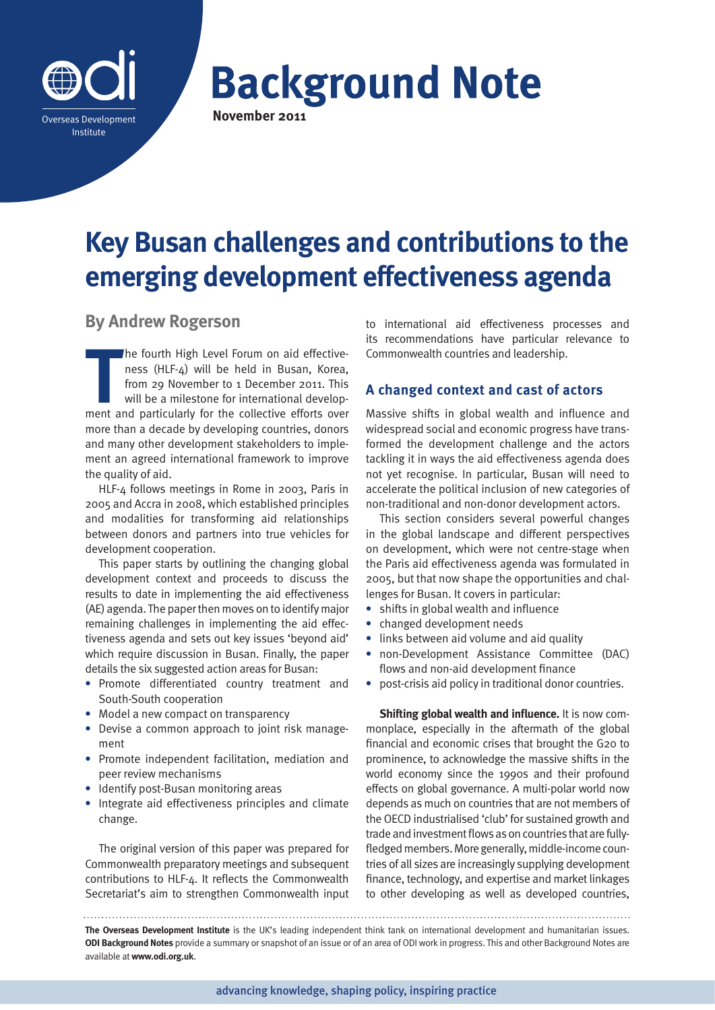

# **Background Note**

## **Key Busan challenges and contributions to the emerging development effectiveness agenda**

### **By Andrew Rogerson**

The fourth High Level Forum on aid effectiveness (HLF-4) will be held in Busan, Korea, from 29 November to 1 December 2011. This will be a milestone for international development and particularly for the collective efforts he fourth High Level Forum on aid effectiveness (HLF-4) will be held in Busan, Korea, from 29 November to 1 December 2011. This will be a milestone for international developmore than a decade by developing countries, donors and many other development stakeholders to implement an agreed international framework to improve the quality of aid.

HLF-4 follows meetings in Rome in 2003, Paris in 2005 and Accra in 2008, which established principles and modalities for transforming aid relationships between donors and partners into true vehicles for development cooperation.

This paper starts by outlining the changing global development context and proceeds to discuss the results to date in implementing the aid effectiveness (AE) agenda. The paper then moves on to identify major remaining challenges in implementing the aid effectiveness agenda and sets out key issues 'beyond aid' which require discussion in Busan. Finally, the paper details the six suggested action areas for Busan:

- **•** Promote differentiated country treatment and South-South cooperation
- **•** Model a new compact on transparency
- **•** Devise a common approach to joint risk management
- **•** Promote independent facilitation, mediation and peer review mechanisms
- **•** Identify post-Busan monitoring areas
- **•** Integrate aid effectiveness principles and climate change.

The original version of this paper was prepared for Commonwealth preparatory meetings and subsequent contributions to HLF-4. It reflects the Commonwealth Secretariat's aim to strengthen Commonwealth input to international aid effectiveness processes and its recommendations have particular relevance to Commonwealth countries and leadership.

#### **A changed context and cast of actors**

Massive shifts in global wealth and influence and widespread social and economic progress have transformed the development challenge and the actors tackling it in ways the aid effectiveness agenda does not yet recognise. In particular, Busan will need to accelerate the political inclusion of new categories of non-traditional and non-donor development actors.

This section considers several powerful changes in the global landscape and different perspectives on development, which were not centre-stage when the Paris aid effectiveness agenda was formulated in 2005, but that now shape the opportunities and challenges for Busan. It covers in particular:

- **•** shifts in global wealth and influence
- **•** changed development needs
- **•** links between aid volume and aid quality
- **•** non-Development Assistance Committee (DAC) flows and non-aid development finance
- **•** post-crisis aid policy in traditional donor countries.

**Shifting global wealth and influence.** It is now commonplace, especially in the aftermath of the global financial and economic crises that brought the G20 to prominence, to acknowledge the massive shifts in the world economy since the 1990s and their profound effects on global governance. A multi-polar world now depends as much on countries that are not members of the OECD industrialised 'club' for sustained growth and trade and investment flows as on countries that are fullyfledged members. More generally, middle-income countries of all sizes are increasingly supplying development finance, technology, and expertise and market linkages to other developing as well as developed countries,

**The Overseas Development Institute** is the UK's leading independent think tank on international development and humanitarian issues. **ODI Background Notes** provide a summary or snapshot of an issue or of an area of ODI work in progress. This and other Background Notes are available at **www.odi.org.uk**.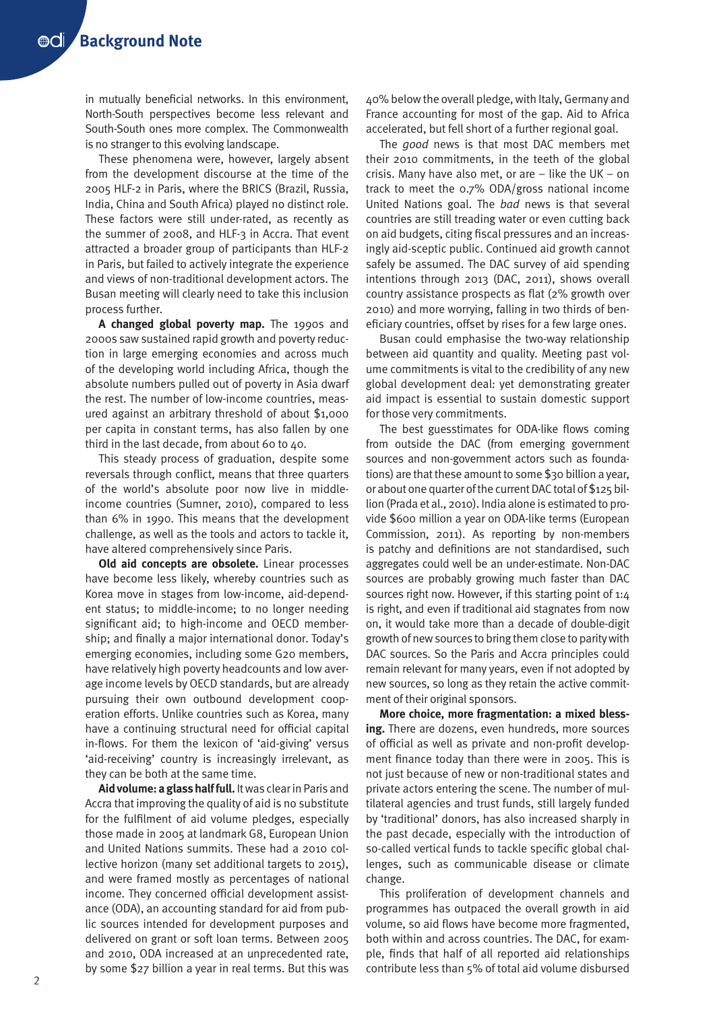in mutually beneficial networks. In this environment, North-South perspectives become less relevant and South-South ones more complex. The Commonwealth is no stranger to this evolving landscape.

These phenomena were, however, largely absent from the development discourse at the time of the 2005 HLF-2 in Paris, where the BRICS (Brazil, Russia, India, China and South Africa) played no distinct role. These factors were still under-rated, as recently as the summer of 2008, and HLF-3 in Accra. That event attracted a broader group of participants than HLF-2 in Paris, but failed to actively integrate the experience and views of non-traditional development actors. The Busan meeting will clearly need to take this inclusion process further.

**A changed global poverty map.** The 1990s and 2000s saw sustained rapid growth and poverty reduction in large emerging economies and across much of the developing world including Africa, though the absolute numbers pulled out of poverty in Asia dwarf the rest. The number of low-income countries, measured against an arbitrary threshold of about \$1,000 per capita in constant terms, has also fallen by one third in the last decade, from about 60 to 40.

This steady process of graduation, despite some reversals through conflict, means that three quarters of the world's absolute poor now live in middleincome countries (Sumner, 2010), compared to less than 6% in 1990. This means that the development challenge, as well as the tools and actors to tackle it, have altered comprehensively since Paris.

**Old aid concepts are obsolete.** Linear processes have become less likely, whereby countries such as Korea move in stages from low-income, aid-dependent status; to middle-income; to no longer needing significant aid; to high-income and OECD membership; and finally a major international donor. Today's emerging economies, including some G20 members, have relatively high poverty headcounts and low average income levels by OECD standards, but are already pursuing their own outbound development cooperation efforts. Unlike countries such as Korea, many have a continuing structural need for official capital in-flows. For them the lexicon of 'aid-giving' versus 'aid-receiving' country is increasingly irrelevant, as they can be both at the same time.

**Aid volume: a glass half full.** It was clear in Paris and Accra that improving the quality of aid is no substitute for the fulfilment of aid volume pledges, especially those made in 2005 at landmark G8, European Union and United Nations summits. These had a 2010 collective horizon (many set additional targets to 2015), and were framed mostly as percentages of national income. They concerned official development assistance (ODA), an accounting standard for aid from public sources intended for development purposes and delivered on grant or soft loan terms. Between 2005 and 2010, ODA increased at an unprecedented rate, by some \$27 billion a year in real terms. But this was

40% below the overall pledge, with Italy, Germany and France accounting for most of the gap. Aid to Africa accelerated, but fell short of a further regional goal.

The *good* news is that most DAC members met their 2010 commitments, in the teeth of the global crisis. Many have also met, or are  $-$  like the UK  $-$  on track to meet the 0.7% ODA/gross national income United Nations goal. The *bad* news is that several countries are still treading water or even cutting back on aid budgets, citing fiscal pressures and an increasingly aid-sceptic public. Continued aid growth cannot safely be assumed. The DAC survey of aid spending intentions through 2013 (DAC, 2011), shows overall country assistance prospects as flat (2% growth over 2010) and more worrying, falling in two thirds of beneficiary countries, offset by rises for a few large ones.

Busan could emphasise the two-way relationship between aid quantity and quality. Meeting past volume commitments is vital to the credibility of any new global development deal: yet demonstrating greater aid impact is essential to sustain domestic support for those very commitments.

The best guesstimates for ODA-like flows coming from outside the DAC (from emerging government sources and non-government actors such as foundations) are that these amount to some \$30 billion a year, or about one quarter of the current DAC total of \$125 billion (Prada et al., 2010). India alone is estimated to provide \$600 million a year on ODA-like terms (European Commission, 2011). As reporting by non-members is patchy and definitions are not standardised, such aggregates could well be an under-estimate. Non-DAC sources are probably growing much faster than DAC sources right now. However, if this starting point of 1:4 is right, and even if traditional aid stagnates from now on, it would take more than a decade of double-digit growth of new sources to bring them close to parity with DAC sources. So the Paris and Accra principles could remain relevant for many years, even if not adopted by new sources, so long as they retain the active commitment of their original sponsors.

**More choice, more fragmentation: a mixed blessing.** There are dozens, even hundreds, more sources of official as well as private and non-profit development finance today than there were in 2005. This is not just because of new or non-traditional states and private actors entering the scene. The number of multilateral agencies and trust funds, still largely funded by 'traditional' donors, has also increased sharply in the past decade, especially with the introduction of so-called vertical funds to tackle specific global challenges, such as communicable disease or climate change.

This proliferation of development channels and programmes has outpaced the overall growth in aid volume, so aid flows have become more fragmented, both within and across countries. The DAC, for example, finds that half of all reported aid relationships contribute less than 5% of total aid volume disbursed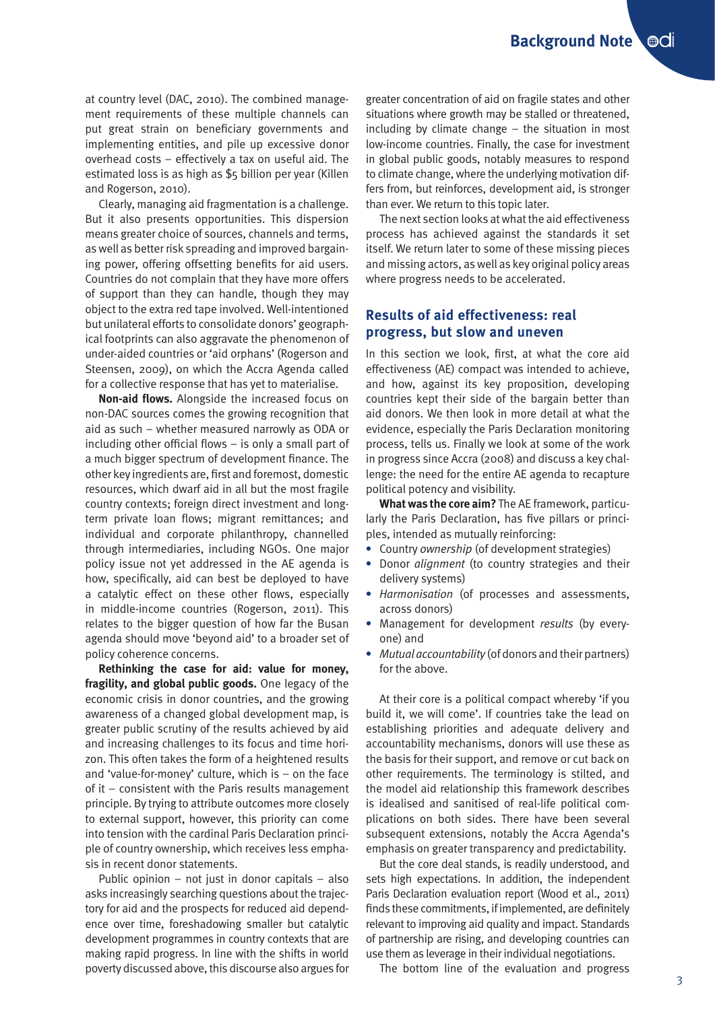at country level (DAC, 2010). The combined management requirements of these multiple channels can put great strain on beneficiary governments and implementing entities, and pile up excessive donor overhead costs – effectively a tax on useful aid. The estimated loss is as high as \$5 billion per year (Killen and Rogerson, 2010).

Clearly, managing aid fragmentation is a challenge. But it also presents opportunities. This dispersion means greater choice of sources, channels and terms, as well as better risk spreading and improved bargaining power, offering offsetting benefits for aid users. Countries do not complain that they have more offers of support than they can handle, though they may object to the extra red tape involved. Well-intentioned but unilateral efforts to consolidate donors' geographical footprints can also aggravate the phenomenon of under-aided countries or 'aid orphans' (Rogerson and Steensen, 2009), on which the Accra Agenda called for a collective response that has yet to materialise.

**Non-aid flows.** Alongside the increased focus on non-DAC sources comes the growing recognition that aid as such – whether measured narrowly as ODA or including other official flows – is only a small part of a much bigger spectrum of development finance. The other key ingredients are, first and foremost, domestic resources, which dwarf aid in all but the most fragile country contexts; foreign direct investment and longterm private loan flows; migrant remittances; and individual and corporate philanthropy, channelled through intermediaries, including NGOs. One major policy issue not yet addressed in the AE agenda is how, specifically, aid can best be deployed to have a catalytic effect on these other flows, especially in middle-income countries (Rogerson, 2011). This relates to the bigger question of how far the Busan agenda should move 'beyond aid' to a broader set of policy coherence concerns.

**Rethinking the case for aid: value for money, fragility, and global public goods.** One legacy of the economic crisis in donor countries, and the growing awareness of a changed global development map, is greater public scrutiny of the results achieved by aid and increasing challenges to its focus and time horizon. This often takes the form of a heightened results and 'value-for-money' culture, which is – on the face of it – consistent with the Paris results management principle. By trying to attribute outcomes more closely to external support, however, this priority can come into tension with the cardinal Paris Declaration principle of country ownership, which receives less emphasis in recent donor statements.

Public opinion  $-$  not just in donor capitals  $-$  also asks increasingly searching questions about the trajectory for aid and the prospects for reduced aid dependence over time, foreshadowing smaller but catalytic development programmes in country contexts that are making rapid progress. In line with the shifts in world poverty discussed above, this discourse also argues for

greater concentration of aid on fragile states and other situations where growth may be stalled or threatened, including by climate change – the situation in most low-income countries. Finally, the case for investment in global public goods, notably measures to respond to climate change, where the underlying motivation differs from, but reinforces, development aid, is stronger than ever. We return to this topic later.

The next section looks at what the aid effectiveness process has achieved against the standards it set itself. We return later to some of these missing pieces and missing actors, as well as key original policy areas where progress needs to be accelerated.

#### **Results of aid effectiveness: real progress, but slow and uneven**

In this section we look, first, at what the core aid effectiveness (AE) compact was intended to achieve, and how, against its key proposition, developing countries kept their side of the bargain better than aid donors. We then look in more detail at what the evidence, especially the Paris Declaration monitoring process, tells us. Finally we look at some of the work in progress since Accra (2008) and discuss a key challenge: the need for the entire AE agenda to recapture political potency and visibility.

**What was the core aim?** The AE framework, particularly the Paris Declaration, has five pillars or principles, intended as mutually reinforcing:

- **•** Country *ownership* (of development strategies)
- **•** Donor *alignment* (to country strategies and their delivery systems)
- **•** *Harmonisation* (of processes and assessments, across donors)
- **•** Management for development *results* (by everyone) and
- **•** *Mutual accountability* (of donors and their partners) for the above.

At their core is a political compact whereby 'if you build it, we will come'. If countries take the lead on establishing priorities and adequate delivery and accountability mechanisms, donors will use these as the basis for their support, and remove or cut back on other requirements. The terminology is stilted, and the model aid relationship this framework describes is idealised and sanitised of real-life political complications on both sides. There have been several subsequent extensions, notably the Accra Agenda's emphasis on greater transparency and predictability.

But the core deal stands, is readily understood, and sets high expectations. In addition, the independent Paris Declaration evaluation report (Wood et al., 2011) finds these commitments, if implemented, are definitely relevant to improving aid quality and impact. Standards of partnership are rising, and developing countries can use them as leverage in their individual negotiations.

The bottom line of the evaluation and progress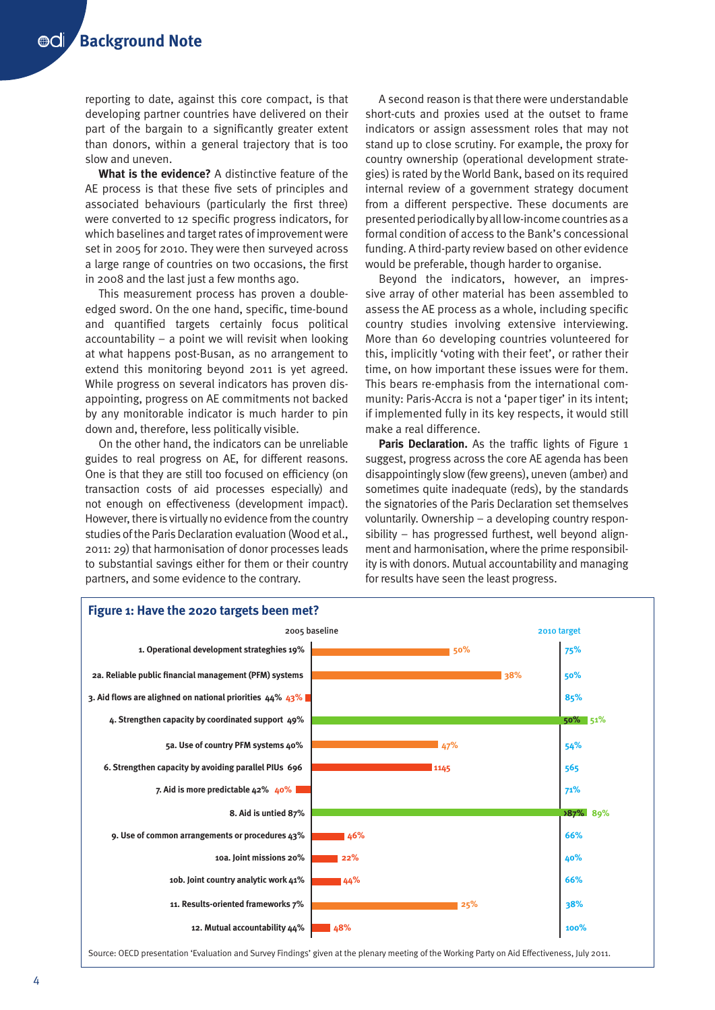reporting to date, against this core compact, is that developing partner countries have delivered on their part of the bargain to a significantly greater extent than donors, within a general trajectory that is too slow and uneven.

**What is the evidence?** A distinctive feature of the AE process is that these five sets of principles and associated behaviours (particularly the first three) were converted to 12 specific progress indicators, for which baselines and target rates of improvement were set in 2005 for 2010. They were then surveyed across a large range of countries on two occasions, the first in 2008 and the last just a few months ago.

This measurement process has proven a doubleedged sword. On the one hand, specific, time-bound and quantified targets certainly focus political accountability – a point we will revisit when looking at what happens post-Busan, as no arrangement to extend this monitoring beyond 2011 is yet agreed. While progress on several indicators has proven disappointing, progress on AE commitments not backed by any monitorable indicator is much harder to pin down and, therefore, less politically visible.

On the other hand, the indicators can be unreliable guides to real progress on AE, for different reasons. One is that they are still too focused on efficiency (on transaction costs of aid processes especially) and not enough on effectiveness (development impact). However, there is virtually no evidence from the country studies of the Paris Declaration evaluation (Wood et al., 2011: 29) that harmonisation of donor processes leads to substantial savings either for them or their country partners, and some evidence to the contrary.

A second reason is that there were understandable short-cuts and proxies used at the outset to frame indicators or assign assessment roles that may not stand up to close scrutiny. For example, the proxy for country ownership (operational development strategies) is rated by the World Bank, based on its required internal review of a government strategy document from a different perspective. These documents are presented periodically by all low-income countries as a formal condition of access to the Bank's concessional funding. A third-party review based on other evidence would be preferable, though harder to organise.

Beyond the indicators, however, an impressive array of other material has been assembled to assess the AE process as a whole, including specific country studies involving extensive interviewing. More than 60 developing countries volunteered for this, implicitly 'voting with their feet', or rather their time, on how important these issues were for them. This bears re-emphasis from the international community: Paris-Accra is not a 'paper tiger' in its intent; if implemented fully in its key respects, it would still make a real difference.

**Paris Declaration.** As the traffic lights of Figure 1 suggest, progress across the core AE agenda has been disappointingly slow (few greens), uneven (amber) and sometimes quite inadequate (reds), by the standards the signatories of the Paris Declaration set themselves voluntarily. Ownership – a developing country responsibility – has progressed furthest, well beyond alignment and harmonisation, where the prime responsibility is with donors. Mutual accountability and managing for results have seen the least progress.



Source: OECD presentation 'Evaluation and Survey Findings' given at the plenary meeting of the Working Party on Aid Effectiveness, July 2011.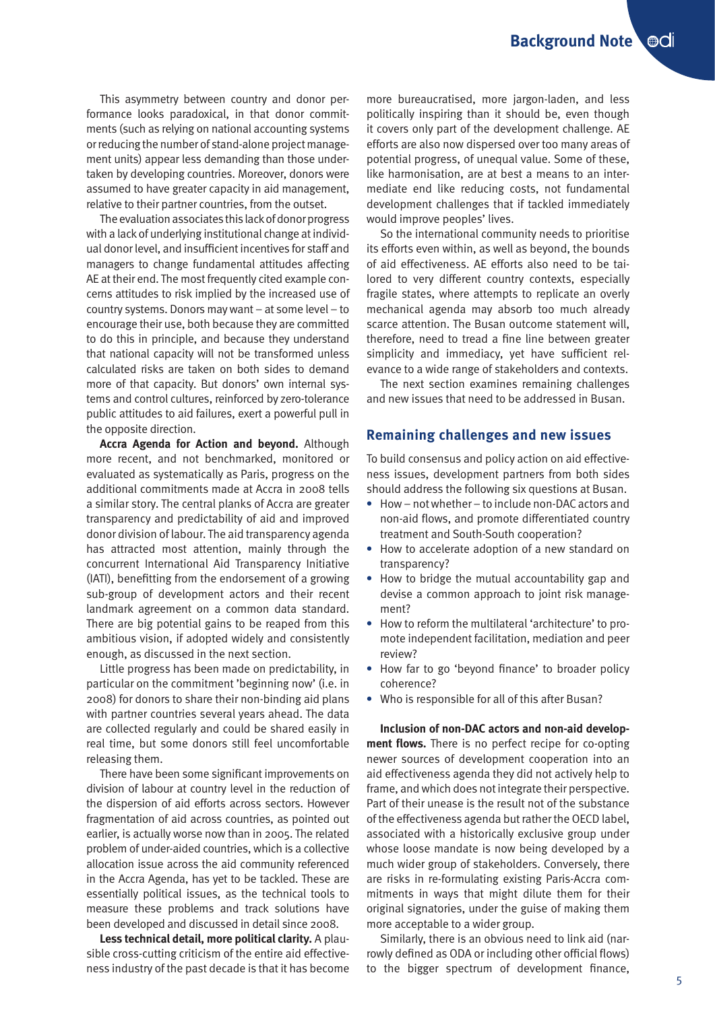This asymmetry between country and donor performance looks paradoxical, in that donor commitments (such as relying on national accounting systems or reducing the number of stand-alone project management units) appear less demanding than those undertaken by developing countries. Moreover, donors were assumed to have greater capacity in aid management, relative to their partner countries, from the outset.

The evaluation associates this lack of donor progress with a lack of underlying institutional change at individual donor level, and insufficient incentives for staff and managers to change fundamental attitudes affecting AE at their end. The most frequently cited example concerns attitudes to risk implied by the increased use of country systems. Donors may want – at some level – to encourage their use, both because they are committed to do this in principle, and because they understand that national capacity will not be transformed unless calculated risks are taken on both sides to demand more of that capacity. But donors' own internal systems and control cultures, reinforced by zero-tolerance public attitudes to aid failures, exert a powerful pull in the opposite direction.

**Accra Agenda for Action and beyond.** Although more recent, and not benchmarked, monitored or evaluated as systematically as Paris, progress on the additional commitments made at Accra in 2008 tells a similar story. The central planks of Accra are greater transparency and predictability of aid and improved donor division of labour. The aid transparency agenda has attracted most attention, mainly through the concurrent International Aid Transparency Initiative (IATI), benefitting from the endorsement of a growing sub-group of development actors and their recent landmark agreement on a common data standard. There are big potential gains to be reaped from this ambitious vision, if adopted widely and consistently enough, as discussed in the next section.

Little progress has been made on predictability, in particular on the commitment 'beginning now' (i.e. in 2008) for donors to share their non-binding aid plans with partner countries several years ahead. The data are collected regularly and could be shared easily in real time, but some donors still feel uncomfortable releasing them.

There have been some significant improvements on division of labour at country level in the reduction of the dispersion of aid efforts across sectors. However fragmentation of aid across countries, as pointed out earlier, is actually worse now than in 2005. The related problem of under-aided countries, which is a collective allocation issue across the aid community referenced in the Accra Agenda, has yet to be tackled. These are essentially political issues, as the technical tools to measure these problems and track solutions have been developed and discussed in detail since 2008.

**Less technical detail, more political clarity.** A plausible cross-cutting criticism of the entire aid effectiveness industry of the past decade is that it has become more bureaucratised, more jargon-laden, and less politically inspiring than it should be, even though it covers only part of the development challenge. AE efforts are also now dispersed over too many areas of potential progress, of unequal value. Some of these, like harmonisation, are at best a means to an intermediate end like reducing costs, not fundamental development challenges that if tackled immediately would improve peoples' lives.

So the international community needs to prioritise its efforts even within, as well as beyond, the bounds of aid effectiveness. AE efforts also need to be tailored to very different country contexts, especially fragile states, where attempts to replicate an overly mechanical agenda may absorb too much already scarce attention. The Busan outcome statement will, therefore, need to tread a fine line between greater simplicity and immediacy, yet have sufficient relevance to a wide range of stakeholders and contexts.

The next section examines remaining challenges and new issues that need to be addressed in Busan.

#### **Remaining challenges and new issues**

To build consensus and policy action on aid effectiveness issues, development partners from both sides should address the following six questions at Busan.

- **•** How not whether to include non-DAC actors and non-aid flows, and promote differentiated country treatment and South-South cooperation?
- **•** How to accelerate adoption of a new standard on transparency?
- **•** How to bridge the mutual accountability gap and devise a common approach to joint risk management?
- **•** How to reform the multilateral 'architecture' to promote independent facilitation, mediation and peer review?
- **•** How far to go 'beyond finance' to broader policy coherence?
- **•** Who is responsible for all of this after Busan?

**Inclusion of non-DAC actors and non-aid development flows.** There is no perfect recipe for co-opting newer sources of development cooperation into an aid effectiveness agenda they did not actively help to frame, and which does not integrate their perspective. Part of their unease is the result not of the substance of the effectiveness agenda but rather the OECD label, associated with a historically exclusive group under whose loose mandate is now being developed by a much wider group of stakeholders. Conversely, there are risks in re-formulating existing Paris-Accra commitments in ways that might dilute them for their original signatories, under the guise of making them more acceptable to a wider group.

Similarly, there is an obvious need to link aid (narrowly defined as ODA or including other official flows) to the bigger spectrum of development finance,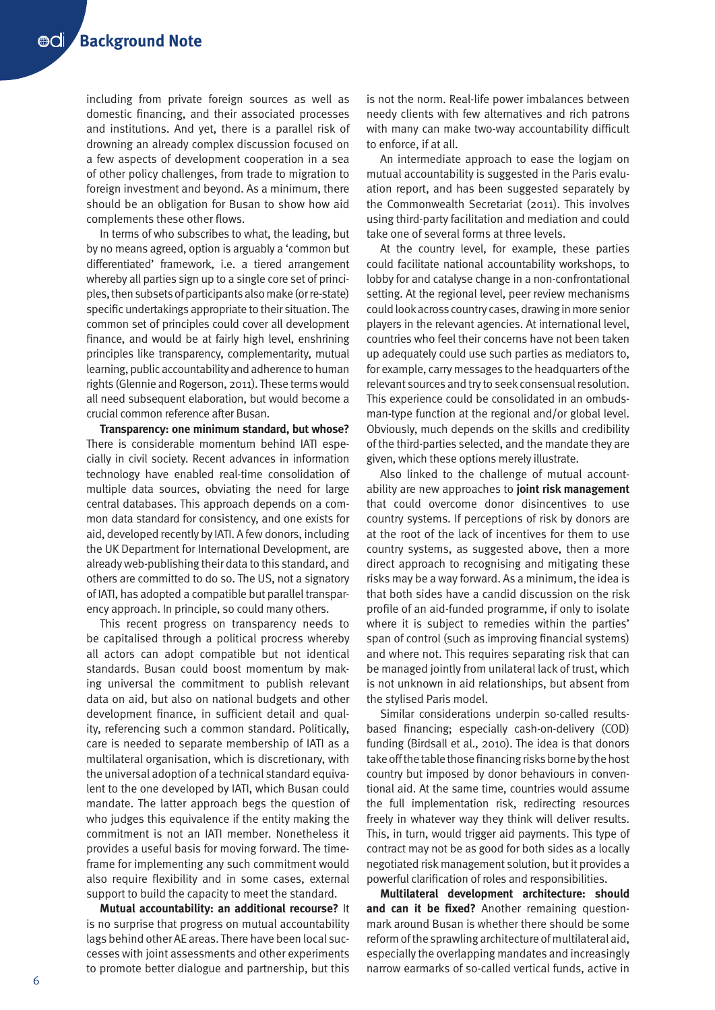including from private foreign sources as well as domestic financing, and their associated processes and institutions. And yet, there is a parallel risk of drowning an already complex discussion focused on a few aspects of development cooperation in a sea of other policy challenges, from trade to migration to foreign investment and beyond. As a minimum, there should be an obligation for Busan to show how aid complements these other flows.

In terms of who subscribes to what, the leading, but by no means agreed, option is arguably a 'common but differentiated' framework, i.e. a tiered arrangement whereby all parties sign up to a single core set of principles, then subsets of participants also make (or re-state) specific undertakings appropriate to their situation. The common set of principles could cover all development finance, and would be at fairly high level, enshrining principles like transparency, complementarity, mutual learning, public accountability and adherence to human rights (Glennie and Rogerson, 2011). These terms would all need subsequent elaboration, but would become a crucial common reference after Busan.

**Transparency: one minimum standard, but whose?**  There is considerable momentum behind IATI especially in civil society. Recent advances in information technology have enabled real-time consolidation of multiple data sources, obviating the need for large central databases. This approach depends on a common data standard for consistency, and one exists for aid, developed recently by IATI. A few donors, including the UK Department for International Development, are already web-publishing their data to this standard, and others are committed to do so. The US, not a signatory of IATI, has adopted a compatible but parallel transparency approach. In principle, so could many others.

This recent progress on transparency needs to be capitalised through a political procress whereby all actors can adopt compatible but not identical standards. Busan could boost momentum by making universal the commitment to publish relevant data on aid, but also on national budgets and other development finance, in sufficient detail and quality, referencing such a common standard. Politically, care is needed to separate membership of IATI as a multilateral organisation, which is discretionary, with the universal adoption of a technical standard equivalent to the one developed by IATI, which Busan could mandate. The latter approach begs the question of who judges this equivalence if the entity making the commitment is not an IATI member. Nonetheless it provides a useful basis for moving forward. The timeframe for implementing any such commitment would also require flexibility and in some cases, external support to build the capacity to meet the standard.

**Mutual accountability: an additional recourse?** It is no surprise that progress on mutual accountability lags behind other AE areas. There have been local successes with joint assessments and other experiments to promote better dialogue and partnership, but this

is not the norm. Real-life power imbalances between needy clients with few alternatives and rich patrons with many can make two-way accountability difficult to enforce, if at all.

An intermediate approach to ease the logjam on mutual accountability is suggested in the Paris evaluation report, and has been suggested separately by the Commonwealth Secretariat (2011). This involves using third-party facilitation and mediation and could take one of several forms at three levels.

At the country level, for example, these parties could facilitate national accountability workshops, to lobby for and catalyse change in a non-confrontational setting. At the regional level, peer review mechanisms could look across country cases, drawing in more senior players in the relevant agencies. At international level, countries who feel their concerns have not been taken up adequately could use such parties as mediators to, for example, carry messages to the headquarters of the relevant sources and try to seek consensual resolution. This experience could be consolidated in an ombudsman-type function at the regional and/or global level. Obviously, much depends on the skills and credibility of the third-parties selected, and the mandate they are given, which these options merely illustrate.

Also linked to the challenge of mutual accountability are new approaches to **joint risk management** that could overcome donor disincentives to use country systems. If perceptions of risk by donors are at the root of the lack of incentives for them to use country systems, as suggested above, then a more direct approach to recognising and mitigating these risks may be a way forward. As a minimum, the idea is that both sides have a candid discussion on the risk profile of an aid-funded programme, if only to isolate where it is subject to remedies within the parties' span of control (such as improving financial systems) and where not. This requires separating risk that can be managed jointly from unilateral lack of trust, which is not unknown in aid relationships, but absent from the stylised Paris model.

Similar considerations underpin so-called resultsbased financing; especially cash-on-delivery (COD) funding (Birdsall et al., 2010). The idea is that donors take off the table those financing risks borne by the host country but imposed by donor behaviours in conventional aid. At the same time, countries would assume the full implementation risk, redirecting resources freely in whatever way they think will deliver results. This, in turn, would trigger aid payments. This type of contract may not be as good for both sides as a locally negotiated risk management solution, but it provides a powerful clarification of roles and responsibilities.

**Multilateral development architecture: should and can it be fixed?** Another remaining questionmark around Busan is whether there should be some reform of the sprawling architecture of multilateral aid, especially the overlapping mandates and increasingly narrow earmarks of so-called vertical funds, active in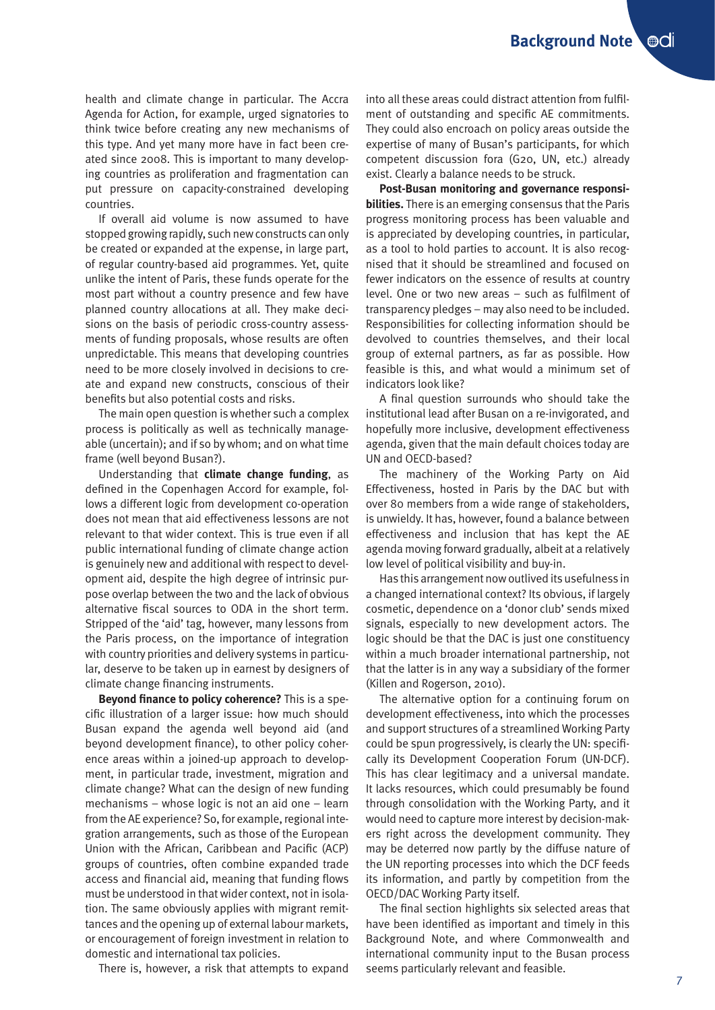health and climate change in particular. The Accra Agenda for Action, for example, urged signatories to think twice before creating any new mechanisms of this type. And yet many more have in fact been created since 2008. This is important to many developing countries as proliferation and fragmentation can put pressure on capacity-constrained developing countries.

If overall aid volume is now assumed to have stopped growing rapidly, such new constructs can only be created or expanded at the expense, in large part, of regular country-based aid programmes. Yet, quite unlike the intent of Paris, these funds operate for the most part without a country presence and few have planned country allocations at all. They make decisions on the basis of periodic cross-country assessments of funding proposals, whose results are often unpredictable. This means that developing countries need to be more closely involved in decisions to create and expand new constructs, conscious of their benefits but also potential costs and risks.

The main open question is whether such a complex process is politically as well as technically manageable (uncertain); and if so by whom; and on what time frame (well beyond Busan?).

Understanding that **climate change funding**, as defined in the Copenhagen Accord for example, follows a different logic from development co-operation does not mean that aid effectiveness lessons are not relevant to that wider context. This is true even if all public international funding of climate change action is genuinely new and additional with respect to development aid, despite the high degree of intrinsic purpose overlap between the two and the lack of obvious alternative fiscal sources to ODA in the short term. Stripped of the 'aid' tag, however, many lessons from the Paris process, on the importance of integration with country priorities and delivery systems in particular, deserve to be taken up in earnest by designers of climate change financing instruments.

**Beyond finance to policy coherence?** This is a specific illustration of a larger issue: how much should Busan expand the agenda well beyond aid (and beyond development finance), to other policy coherence areas within a joined-up approach to development, in particular trade, investment, migration and climate change? What can the design of new funding mechanisms – whose logic is not an aid one – learn from the AE experience? So, for example, regional integration arrangements, such as those of the European Union with the African, Caribbean and Pacific (ACP) groups of countries, often combine expanded trade access and financial aid, meaning that funding flows must be understood in that wider context, not in isolation. The same obviously applies with migrant remittances and the opening up of external labour markets, or encouragement of foreign investment in relation to domestic and international tax policies.

There is, however, a risk that attempts to expand

into all these areas could distract attention from fulfilment of outstanding and specific AE commitments. They could also encroach on policy areas outside the expertise of many of Busan's participants, for which competent discussion fora (G20, UN, etc.) already exist. Clearly a balance needs to be struck.

**Post-Busan monitoring and governance responsibilities.** There is an emerging consensus that the Paris progress monitoring process has been valuable and is appreciated by developing countries, in particular, as a tool to hold parties to account. It is also recognised that it should be streamlined and focused on fewer indicators on the essence of results at country level. One or two new areas – such as fulfilment of transparency pledges – may also need to be included. Responsibilities for collecting information should be devolved to countries themselves, and their local group of external partners, as far as possible. How feasible is this, and what would a minimum set of indicators look like?

A final question surrounds who should take the institutional lead after Busan on a re-invigorated, and hopefully more inclusive, development effectiveness agenda, given that the main default choices today are UN and OECD-based?

The machinery of the Working Party on Aid Effectiveness, hosted in Paris by the DAC but with over 80 members from a wide range of stakeholders, is unwieldy. It has, however, found a balance between effectiveness and inclusion that has kept the AE agenda moving forward gradually, albeit at a relatively low level of political visibility and buy-in.

Has this arrangement now outlived its usefulness in a changed international context? Its obvious, if largely cosmetic, dependence on a 'donor club' sends mixed signals, especially to new development actors. The logic should be that the DAC is just one constituency within a much broader international partnership, not that the latter is in any way a subsidiary of the former (Killen and Rogerson, 2010).

The alternative option for a continuing forum on development effectiveness, into which the processes and support structures of a streamlined Working Party could be spun progressively, is clearly the UN: specifically its Development Cooperation Forum (UN-DCF). This has clear legitimacy and a universal mandate. It lacks resources, which could presumably be found through consolidation with the Working Party, and it would need to capture more interest by decision-makers right across the development community. They may be deterred now partly by the diffuse nature of the UN reporting processes into which the DCF feeds its information, and partly by competition from the OECD/DAC Working Party itself.

The final section highlights six selected areas that have been identified as important and timely in this Background Note, and where Commonwealth and international community input to the Busan process seems particularly relevant and feasible.